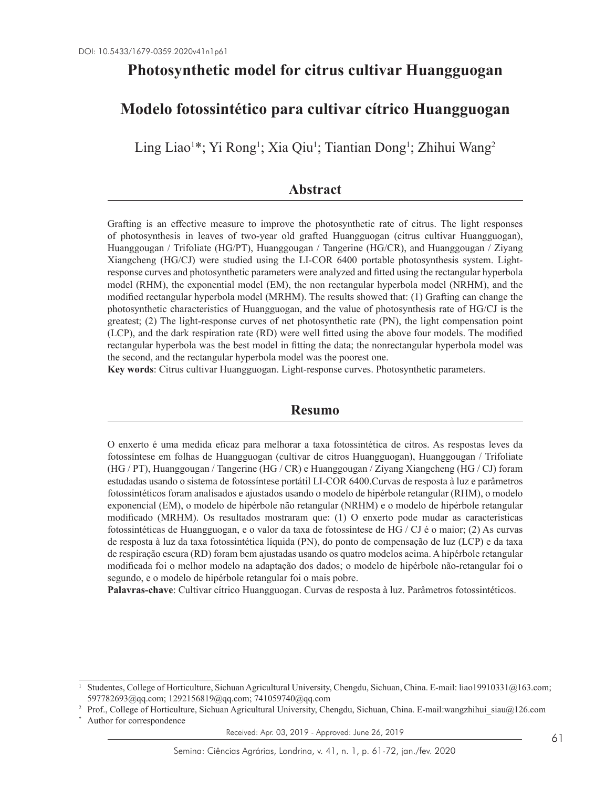# **Photosynthetic model for citrus cultivar Huangguogan**

# **Modelo fotossintético para cultivar cítrico Huangguogan**

Ling Liao<sup>1</sup>\*; Yi Rong<sup>1</sup>; Xia Qiu<sup>1</sup>; Tiantian Dong<sup>1</sup>; Zhihui Wang<sup>2</sup>

# **Abstract**

Grafting is an effective measure to improve the photosynthetic rate of citrus. The light responses of photosynthesis in leaves of two-year old grafted Huangguogan (citrus cultivar Huangguogan), Huanggougan / Trifoliate (HG/PT), Huanggougan / Tangerine (HG/CR), and Huanggougan / Ziyang Xiangcheng (HG/CJ) were studied using the LI-COR 6400 portable photosynthesis system. Lightresponse curves and photosynthetic parameters were analyzed and fitted using the rectangular hyperbola model (RHM), the exponential model (EM), the non rectangular hyperbola model (NRHM), and the modified rectangular hyperbola model (MRHM). The results showed that: (1) Grafting can change the photosynthetic characteristics of Huangguogan, and the value of photosynthesis rate of HG/CJ is the greatest; (2) The light-response curves of net photosynthetic rate (PN), the light compensation point (LCP), and the dark respiration rate (RD) were well fitted using the above four models. The modified rectangular hyperbola was the best model in fitting the data; the nonrectangular hyperbola model was the second, and the rectangular hyperbola model was the poorest one.

**Key words**: Citrus cultivar Huangguogan. Light-response curves. Photosynthetic parameters.

### **Resumo**

O enxerto é uma medida eficaz para melhorar a taxa fotossintética de citros. As respostas leves da fotossíntese em folhas de Huangguogan (cultivar de citros Huangguogan), Huanggougan / Trifoliate (HG / PT), Huanggougan / Tangerine (HG / CR) e Huanggougan / Ziyang Xiangcheng (HG / CJ) foram estudadas usando o sistema de fotossíntese portátil LI-COR 6400.Curvas de resposta à luz e parâmetros fotossintéticos foram analisados e ajustados usando o modelo de hipérbole retangular (RHM), o modelo exponencial (EM), o modelo de hipérbole não retangular (NRHM) e o modelo de hipérbole retangular modificado (MRHM). Os resultados mostraram que: (1) O enxerto pode mudar as características fotossintéticas de Huangguogan, e o valor da taxa de fotossíntese de HG / CJ é o maior; (2) As curvas de resposta à luz da taxa fotossintética líquida (PN), do ponto de compensação de luz (LCP) e da taxa de respiração escura (RD) foram bem ajustadas usando os quatro modelos acima. A hipérbole retangular modificada foi o melhor modelo na adaptação dos dados; o modelo de hipérbole não-retangular foi o segundo, e o modelo de hipérbole retangular foi o mais pobre.

**Palavras-chave**: Cultivar cítrico Huangguogan. Curvas de resposta à luz. Parâmetros fotossintéticos.

Received: Apr. 03, 2019 - Approved: June 26, 2019

<sup>1</sup> Studentes, College of Horticulture, Sichuan Agricultural University, Chengdu, Sichuan, China. E-mail: liao19910331@163.com; 597782693@qq.com; 1292156819@qq.com; 741059740@qq.com

<sup>&</sup>lt;sup>2</sup> Prof., College of Horticulture, Sichuan Agricultural University, Chengdu, Sichuan, China. E-mail:wangzhihui\_siau@126.com

Author for correspondence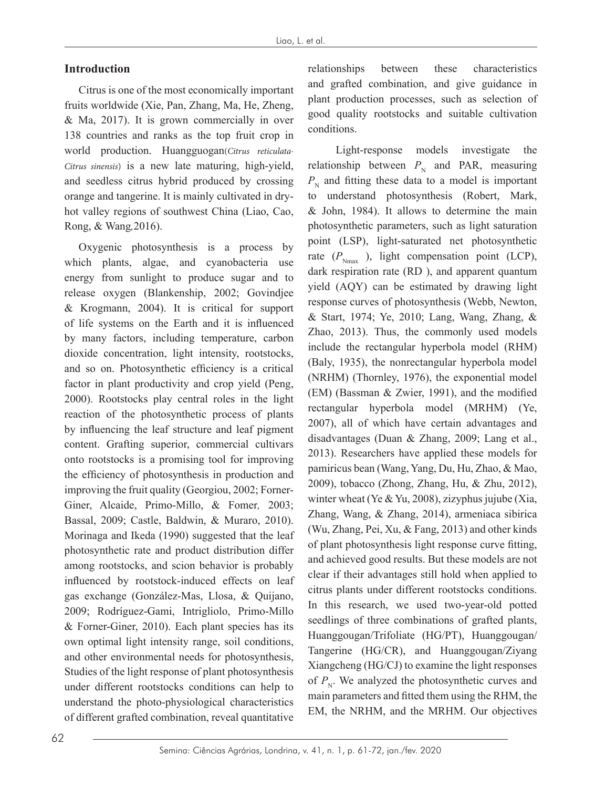## **Introduction**

Citrus is one of the most economically important fruits worldwide (Xie, Pan, Zhang, Ma, He, Zheng, & Ma, 2017). It is grown commercially in over 138 countries and ranks as the top fruit crop in world production. Huangguogan(Citrus reticulata-*Citrus sinensis*) is a new late maturing, high-yield, and seedless citrus hybrid produced by crossing orange and tangerine. It is mainly cultivated in dryhot valley regions of southwest China (Liao, Cao, Rong, & Wang*,*2016).

Oxygenic photosynthesis is a process by which plants, algae, and cyanobacteria use energy from sunlight to produce sugar and to release oxygen (Blankenship, 2002; Govindjee & Krogmann, 2004). It is critical for support of life systems on the Earth and it is influenced by many factors, including temperature, carbon dioxide concentration, light intensity, rootstocks, and so on. Photosynthetic efficiency is a critical factor in plant productivity and crop yield (Peng, 2000). Rootstocks play central roles in the light reaction of the photosynthetic process of plants by influencing the leaf structure and leaf pigment content. Grafting superior, commercial cultivars onto rootstocks is a promising tool for improving the efficiency of photosynthesis in production and improving the fruit quality (Georgiou, 2002; Forner-Giner, Alcaide, Primo-Millo, & Fomer*,* 2003; Bassal, 2009; Castle, Baldwin, & Muraro, 2010). Morinaga and Ikeda (1990) suggested that the leaf photosynthetic rate and product distribution differ among rootstocks, and scion behavior is probably influenced by rootstock-induced effects on leaf gas exchange (González-Mas, Llosa, & Quijano, 2009; Rodríguez-Gami, Intrigliolo, Primo-Millo & Forner-Giner, 2010). Each plant species has its own optimal light intensity range, soil conditions, and other environmental needs for photosynthesis, Studies of the light response of plant photosynthesis under different rootstocks conditions can help to understand the photo-physiological characteristics of different grafted combination, reveal quantitative

relationships between these characteristics and grafted combination, and give guidance in plant production processes, such as selection of good quality rootstocks and suitable cultivation conditions.

 Light-response models investigate the relationship between  $P_N$  and PAR, measuring  $P_N$  and fitting these data to a model is important to understand photosynthesis (Robert, Mark, & John, 1984). It allows to determine the main photosynthetic parameters, such as light saturation point (LSP), light-saturated net photosynthetic rate  $(P_{N_{\text{max}}}$ ), light compensation point (LCP), dark respiration rate (RD ), and apparent quantum yield (AQY) can be estimated by drawing light response curves of photosynthesis (Webb, Newton, & Start, 1974; Ye, 2010; Lang, Wang, Zhang, & Zhao, 2013). Thus, the commonly used models include the rectangular hyperbola model (RHM) (Baly, 1935), the nonrectangular hyperbola model (NRHM) (Thornley, 1976), the exponential model (EM) (Bassman & Zwier, 1991), and the modified rectangular hyperbola model (MRHM) (Ye, 2007), all of which have certain advantages and disadvantages (Duan & Zhang, 2009; Lang et al., 2013). Researchers have applied these models for pamiricus bean (Wang, Yang, Du, Hu, Zhao, & Mao, 2009), tobacco (Zhong, Zhang, Hu, & Zhu, 2012), winter wheat (Ye & Yu, 2008), zizyphus jujube (Xia, Zhang, Wang, & Zhang, 2014), armeniaca sibirica (Wu, Zhang, Pei, Xu, & Fang, 2013) and other kinds of plant photosynthesis light response curve fitting, and achieved good results. But these models are not clear if their advantages still hold when applied to citrus plants under different rootstocks conditions. In this research, we used two-year-old potted seedlings of three combinations of grafted plants, Huanggougan/Trifoliate (HG/PT), Huanggougan/ Tangerine (HG/CR), and Huanggougan/Ziyang Xiangcheng (HG/CJ) to examine the light responses of  $P_{N}$ . We analyzed the photosynthetic curves and main parameters and fitted them using the RHM, the EM, the NRHM, and the MRHM. Our objectives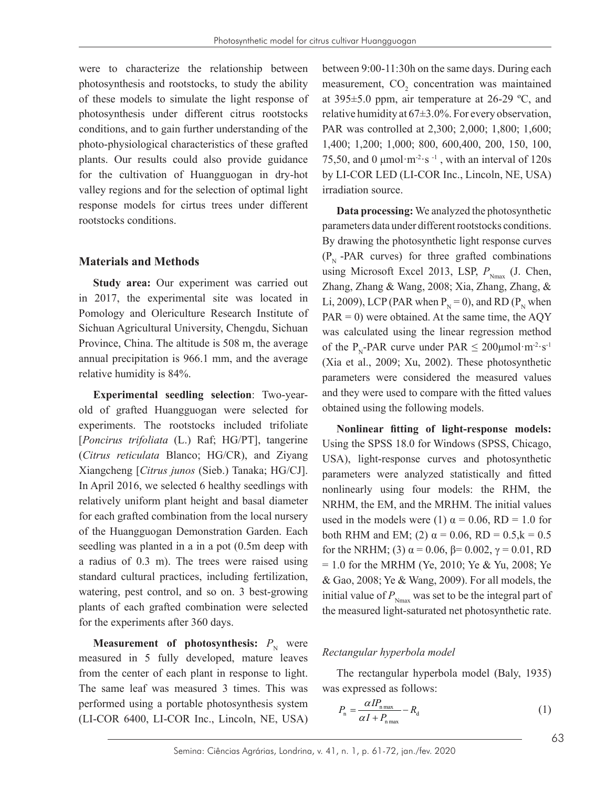were to characterize the relationship between photosynthesis and rootstocks, to study the ability of these models to simulate the light response of photosynthesis under different citrus rootstocks conditions, and to gain further understanding of the photo-physiological characteristics of these grafted plants. Our results could also provide guidance for the cultivation of Huangguogan in dry-hot valley regions and for the selection of optimal light response models for cirtus trees under different rootstocks conditions.

#### **Materials and Methods**

**Study area:** Our experiment was carried out in 2017, the experimental site was located in Pomology and Olericulture Research Institute of Sichuan Agricultural University, Chengdu, Sichuan Province, China. The altitude is 508 m, the average annual precipitation is 966.1 mm, and the average relative humidity is 84%.

**Experimental seedling selection**: Two-yearold of grafted Huangguogan were selected for experiments. The rootstocks included trifoliate [*Poncirus trifoliata* (L.) Raf; HG/PT], tangerine (*Citrus reticulata* Blanco; HG/CR), and Ziyang Xiangcheng [*Citrus junos* (Sieb.) Tanaka; HG/CJ]. In April 2016, we selected 6 healthy seedlings with relatively uniform plant height and basal diameter for each grafted combination from the local nursery of the Huangguogan Demonstration Garden. Each seedling was planted in a in a pot (0.5m deep with a radius of 0.3 m). The trees were raised using standard cultural practices, including fertilization, watering, pest control, and so on. 3 best-growing plants of each grafted combination were selected for the experiments after 360 days.

**Measurement of photosynthesis:**  $P_N$  were measured in 5 fully developed, mature leaves from the center of each plant in response to light. The same leaf was measured 3 times. This was performed using a portable photosynthesis system (LI-COR 6400, LI-COR Inc., Lincoln, NE, USA)

between 9:00-11:30h on the same days. During each measurement,  $CO<sub>2</sub>$  concentration was maintained at 395±5.0 ppm, air temperature at 26-29 ºC, and relative humidity at  $67\pm3.0\%$ . For every observation, PAR was controlled at 2,300; 2,000; 1,800; 1,600; 1,400; 1,200; 1,000; 800, 600,400, 200, 150, 100, 75,50, and 0  $\mu$ mol·m<sup>-2</sup>·s<sup>-1</sup>, with an interval of 120s by LI-COR LED (LI-COR Inc., Lincoln, NE, USA) irradiation source.

**Data processing:** We analyzed the photosynthetic parameters data under different rootstocks conditions. By drawing the photosynthetic light response curves  $(P_N - PAR$  curves) for three grafted combinations using Microsoft Excel 2013, LSP,  $P_{N_{\text{max}}}$  (J. Chen, Zhang, Zhang & Wang, 2008; Xia, Zhang, Zhang, & Li, 2009), LCP (PAR when  $P_N = 0$ ), and RD ( $P_N$  when  $PAR = 0$ ) were obtained. At the same time, the AQY was calculated using the linear regression method of the P<sub>N</sub>-PAR curve under PAR  $\leq 200 \mu$ mol·m<sup>-2</sup>·s<sup>-1</sup> (Xia et al., 2009; Xu, 2002). These photosynthetic parameters were considered the measured values and they were used to compare with the fitted values obtained using the following models.

**Nonlinear fitting of light-response models:**  Using the SPSS 18.0 for Windows (SPSS, Chicago, USA), light-response curves and photosynthetic parameters were analyzed statistically and fitted nonlinearly using four models: the RHM, the NRHM, the EM, and the MRHM. The initial values used in the models were (1)  $\alpha = 0.06$ , RD = 1.0 for both RHM and EM; (2)  $\alpha = 0.06$ , RD = 0.5, $k = 0.5$ for the NRHM; (3) α = 0.06, β= 0.002, γ = 0.01, RD = 1.0 for the MRHM (Ye, 2010; Ye & Yu, 2008; Ye & Gao, 2008; Ye & Wang, 2009). For all models, the initial value of  $P_{N_{\text{max}}}$  was set to be the integral part of the measured light-saturated net photosynthetic rate.

### *Rectangular hyperbola model*

The rectangular hyperbola model (Baly, 1935) was expressed as follows:

$$
P_{\rm n} = \frac{\alpha I P_{\rm n\,max}}{\alpha I + P_{\rm n\,max}} - R_{\rm d} \tag{1}
$$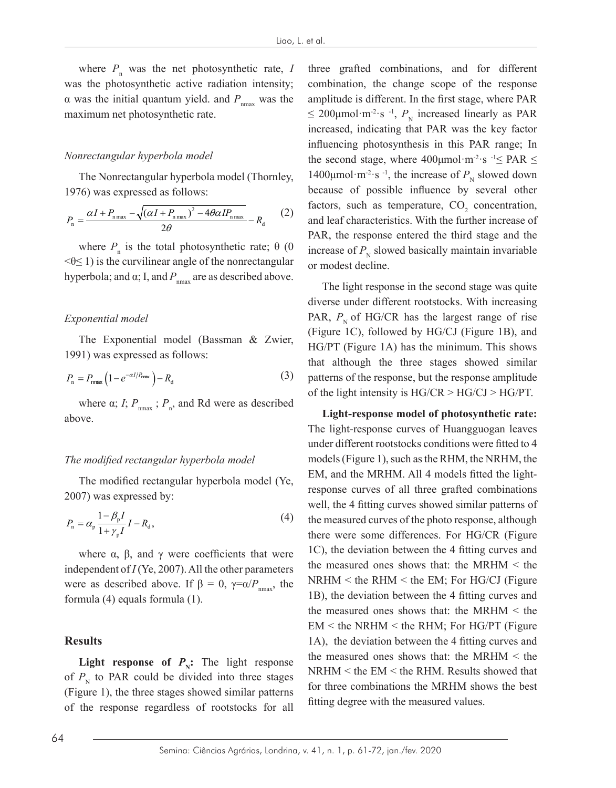where  $P_n$  was the net photosynthetic rate, *I* was the photosynthetic active radiation intensity; α was the initial quantum yield. and  $P_{n<sub>max</sub>}$  was the maximum net photosynthetic rate.

### *Nonrectangular hyperbola model*

The Nonrectangular hyperbola model (Thornley, 1976) was expressed as follows:

$$
P_{\rm n} = \frac{\alpha I + P_{\rm n\,max} - \sqrt{(\alpha I + P_{\rm n\,max})^2 - 4\theta \alpha I P_{\rm n\,max}}}{2\theta} - R_{\rm d}
$$
 (2)

where  $P_{n}$  is the total photosynthetic rate;  $\theta$  (0  $\leq \theta \leq 1$ ) is the curvilinear angle of the nonrectangular hyperbola; and  $\alpha$ ; I, and  $P_{nnax}$  are as described above.

#### *Exponential model*

The Exponential model (Bassman & Zwier, 1991) was expressed as follows:

$$
P_{\rm n} = P_{\rm max} \left( 1 - e^{-\alpha I / P_{\rm max}} \right) - R_{\rm d} \tag{3}
$$

where  $\alpha$ ; *I*;  $P_{\text{max}}$ ;  $P_{\text{n}}$ , and Rd were as described above.

#### *The modified rectangular hyperbola model*

The modified rectangular hyperbola model (Ye, 2007) was expressed by:

$$
P_{\rm n} = \alpha_{\rm p} \frac{1 - \beta_{\rm p} I}{1 + \gamma_{\rm p} I} I - R_{\rm d},\tag{4}
$$

where  $\alpha$ ,  $\beta$ , and  $\gamma$  were coefficients that were independent of *I* (Ye, 2007). All the other parameters were as described above. If  $\beta = 0$ ,  $\gamma = \alpha / P_{\text{max}}$ , the formula (4) equals formula (1).

#### **Results**

**Light response of**  $P_{\text{N}}$ **: The light response** of  $P_{N}$  to PAR could be divided into three stages (Figure 1), the three stages showed similar patterns of the response regardless of rootstocks for all three grafted combinations, and for different combination, the change scope of the response amplitude is different. In the first stage, where PAR  $\leq$  200µmol·m<sup>-2</sup>·s <sup>-1</sup>,  $P_{\text{N}}$  increased linearly as PAR increased, indicating that PAR was the key factor influencing photosynthesis in this PAR range; In the second stage, where  $400 \mu$ mol·m<sup>-2</sup>·s  $-1 \leq$  PAR  $\leq$ 1400μmol·m<sup>-2</sup>·s<sup>-1</sup>, the increase of  $P<sub>N</sub>$  slowed down because of possible influence by several other factors, such as temperature,  $CO<sub>2</sub>$  concentration, and leaf characteristics. With the further increase of PAR, the response entered the third stage and the increase of  $P_N$  slowed basically maintain invariable or modest decline.

The light response in the second stage was quite diverse under different rootstocks. With increasing PAR,  $P_{N}$  of HG/CR has the largest range of rise (Figure 1C), followed by HG/CJ (Figure 1B), and HG/PT (Figure 1A) has the minimum. This shows that although the three stages showed similar patterns of the response, but the response amplitude of the light intensity is  $HG/CR > HG/CJ > HG/PT$ .

**Light-response model of photosynthetic rate:** The light-response curves of Huangguogan leaves under different rootstocks conditions were fitted to 4 models (Figure 1), such as the RHM, the NRHM, the EM, and the MRHM. All 4 models fitted the lightresponse curves of all three grafted combinations well, the 4 fitting curves showed similar patterns of the measured curves of the photo response, although there were some differences. For HG/CR (Figure 1C), the deviation between the 4 fitting curves and the measured ones shows that: the MRHM < the NRHM < the RHM < the EM; For HG/CJ (Figure 1B), the deviation between the 4 fitting curves and the measured ones shows that: the MRHM < the  $EM$  < the NRHM < the RHM; For HG/PT (Figure 1A), the deviation between the 4 fitting curves and the measured ones shows that: the MRHM < the NRHM < the EM < the RHM. Results showed that for three combinations the MRHM shows the best fitting degree with the measured values.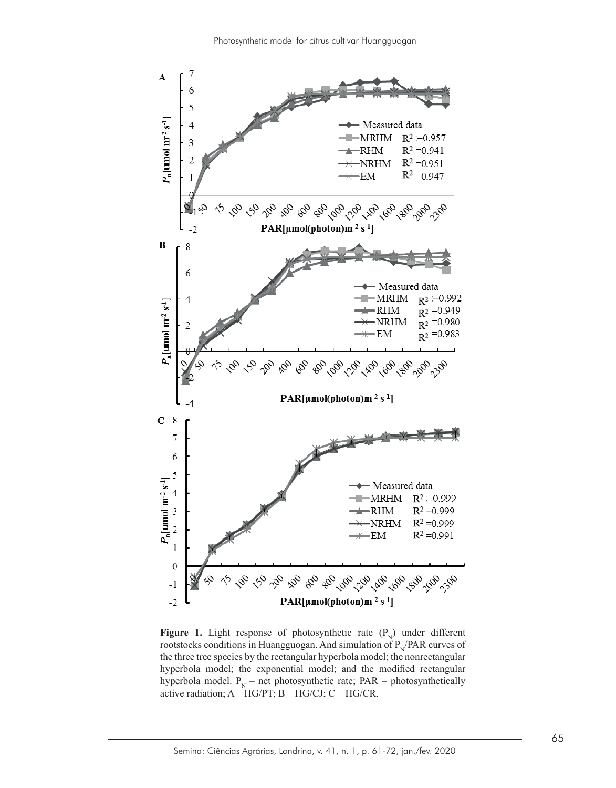

**Figure 1.** Light response of photosynthetic rate  $(P_N)$  under different rootstocks conditions in Huangguogan. And simulation of  $P_N/PAR$  curves of the three tree species by the rectangular hyperbola model; the nonrectangular hyperbola model; the exponential model; and the modified rectangular hyperbola model.  $P_N$  – net photosynthetic rate; PAR – photosynthetically active radiation; A – HG/PT; B – HG/CJ; C – HG/CR.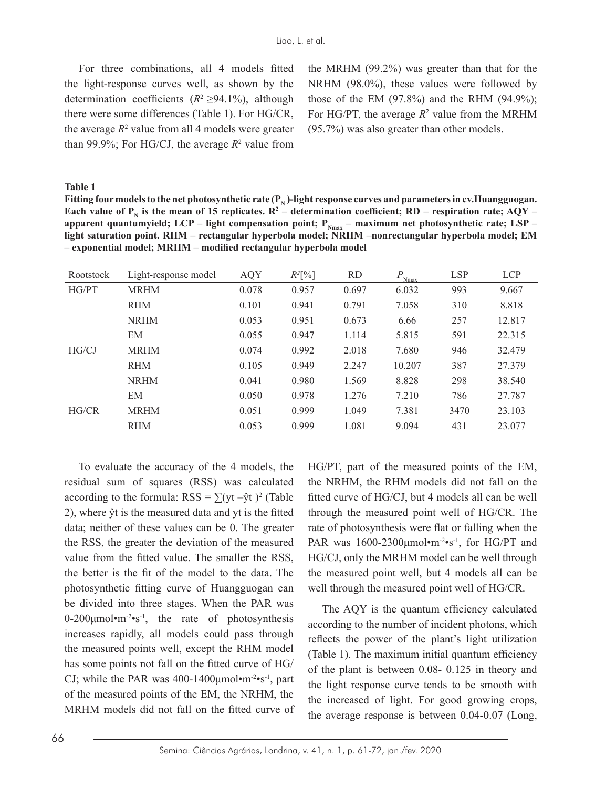For three combinations, all 4 models fitted the light-response curves well, as shown by the determination coefficients (*R*<sup>2</sup>≥94.1%), although there were some differences (Table 1). For HG/CR, the average  $R^2$  value from all 4 models were greater than 99.9%; For HG/CJ, the average  $R^2$  value from the MRHM (99.2%) was greater than that for the NRHM (98.0%), these values were followed by those of the EM  $(97.8\%)$  and the RHM  $(94.9\%)$ ; For HG/PT, the average  $R^2$  value from the MRHM (95.7%) was also greater than other models.

**Table 1**

Fitting four models to the net photosynthetic rate  $(P_N)$ -light response curves and parameters in cv.Huangguogan. Each value of  $P_N$  is the mean of 15 replicates.  $R^2$  – determination coefficient; RD – respiration rate; AQY – apparent quantumyield; LCP – light compensation point; P<sub>Nmax</sub> – maximum net photosynthetic rate; LSP – light saturation point. RHM – rectangular hyperbola model; NRHM –nonrectangular hyperbola model; EM **– exponential model; MRHM – modified rectangular hyperbola model**

| Rootstock | Light-response model | <b>AQY</b> | $R^2[\%]$ | <b>RD</b> | $P_{\frac{N_{\text{max}}}{N_{\text{max}}}}$ | <b>LSP</b> | <b>LCP</b> |
|-----------|----------------------|------------|-----------|-----------|---------------------------------------------|------------|------------|
| HG/PT     | <b>MRHM</b>          | 0.078      | 0.957     | 0.697     | 6.032                                       | 993        | 9.667      |
|           | <b>RHM</b>           | 0.101      | 0.941     | 0.791     | 7.058                                       | 310        | 8.818      |
|           | <b>NRHM</b>          | 0.053      | 0.951     | 0.673     | 6.66                                        | 257        | 12.817     |
|           | EM                   | 0.055      | 0.947     | 1.114     | 5.815                                       | 591        | 22.315     |
| HG/CJ     | <b>MRHM</b>          | 0.074      | 0.992     | 2.018     | 7.680                                       | 946        | 32.479     |
|           | <b>RHM</b>           | 0.105      | 0.949     | 2.247     | 10.207                                      | 387        | 27.379     |
|           | <b>NRHM</b>          | 0.041      | 0.980     | 1.569     | 8.828                                       | 298        | 38.540     |
|           | EM                   | 0.050      | 0.978     | 1.276     | 7.210                                       | 786        | 27.787     |
| HG/CR     | <b>MRHM</b>          | 0.051      | 0.999     | 1.049     | 7.381                                       | 3470       | 23.103     |
|           | <b>RHM</b>           | 0.053      | 0.999     | 1.081     | 9.094                                       | 431        | 23.077     |

To evaluate the accuracy of the 4 models, the residual sum of squares (RSS) was calculated according to the formula:  $RSS = \sum (yt - \hat{y}t)^2$  (Table 2), where ŷt is the measured data and yt is the fitted data; neither of these values can be 0. The greater the RSS, the greater the deviation of the measured value from the fitted value. The smaller the RSS, the better is the fit of the model to the data. The photosynthetic fitting curve of Huangguogan can be divided into three stages. When the PAR was  $0-200\mu$ mol·m<sup>-2</sup>·s<sup>-1</sup>, the rate of photosynthesis increases rapidly, all models could pass through the measured points well, except the RHM model has some points not fall on the fitted curve of HG/ CJ; while the PAR was  $400-1400 \mu$ mol $\cdot$ m<sup>-2</sup> $\cdot$ s<sup>-1</sup>, part of the measured points of the EM, the NRHM, the MRHM models did not fall on the fitted curve of

HG/PT, part of the measured points of the EM, the NRHM, the RHM models did not fall on the fitted curve of HG/CJ, but 4 models all can be well through the measured point well of HG/CR. The rate of photosynthesis were flat or falling when the PAR was  $1600-2300\mu$ mol•m<sup>-2</sup>•s<sup>-1</sup>, for HG/PT and HG/CJ, only the MRHM model can be well through the measured point well, but 4 models all can be well through the measured point well of HG/CR.

The AQY is the quantum efficiency calculated according to the number of incident photons, which reflects the power of the plant's light utilization (Table 1). The maximum initial quantum efficiency of the plant is between 0.08- 0.125 in theory and the light response curve tends to be smooth with the increased of light. For good growing crops, the average response is between 0.04-0.07 (Long,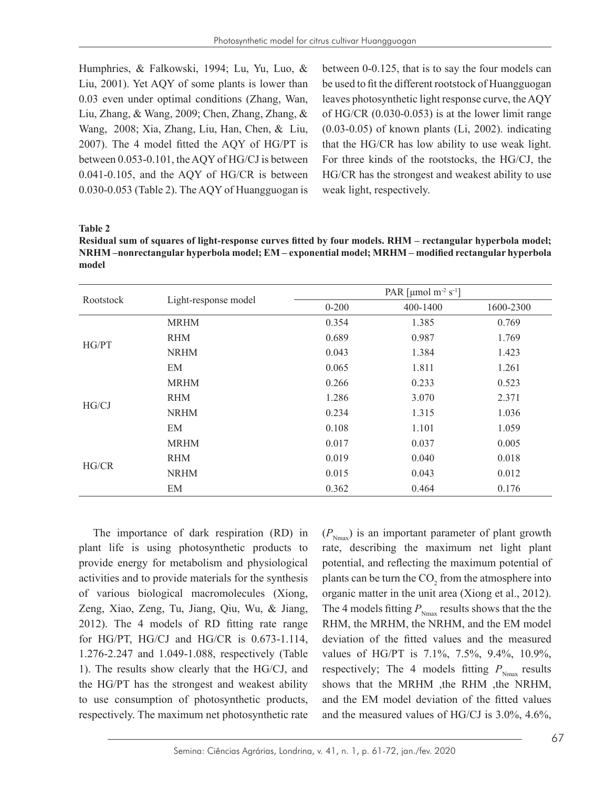Humphries, & Falkowski, 1994; Lu, Yu, Luo, & Liu, 2001). Yet AQY of some plants is lower than 0.03 even under optimal conditions (Zhang, Wan, Liu, Zhang, & Wang, 2009; Chen, Zhang, Zhang, & Wang, 2008; Xia, Zhang, Liu, Han, Chen, & Liu, 2007). The 4 model fitted the AQY of HG/PT is between 0.053-0.101, the AQY of HG/CJ is between 0.041-0.105, and the AQY of HG/CR is between 0.030-0.053 (Table 2). The AQY of Huangguogan is

between 0-0.125, that is to say the four models can be used to fit the different rootstock of Huangguogan leaves photosynthetic light response curve, the AQY of HG/CR (0.030-0.053) is at the lower limit range (0.03-0.05) of known plants (Li, 2002). indicating that the HG/CR has low ability to use weak light. For three kinds of the rootstocks, the HG/CJ, the HG/CR has the strongest and weakest ability to use weak light, respectively.

### **Table 2**

**Residual sum of squares of light-response curves fitted by four models. RHM – rectangular hyperbola model; NRHM –nonrectangular hyperbola model; EM – exponential model; MRHM – modified rectangular hyperbola model**

| Rootstock |                      | PAR [µmol m <sup>-2</sup> s <sup>-1</sup> ] |          |           |  |  |
|-----------|----------------------|---------------------------------------------|----------|-----------|--|--|
|           | Light-response model | $0 - 200$                                   | 400-1400 | 1600-2300 |  |  |
|           | <b>MRHM</b>          | 0.354                                       | 1.385    | 0.769     |  |  |
| HG/PT     | <b>RHM</b>           | 0.689                                       | 0.987    | 1.769     |  |  |
|           | <b>NRHM</b>          | 0.043                                       | 1.384    | 1.423     |  |  |
|           | EM                   | 0.065                                       | 1.811    | 1.261     |  |  |
|           | <b>MRHM</b>          | 0.266                                       | 0.233    | 0.523     |  |  |
| HG/CJ     | <b>RHM</b>           | 1.286                                       | 3.070    | 2.371     |  |  |
|           | <b>NRHM</b>          | 0.234                                       | 1.315    | 1.036     |  |  |
|           | EM                   | 0.108                                       | 1.101    | 1.059     |  |  |
|           | <b>MRHM</b>          | 0.017                                       | 0.037    | 0.005     |  |  |
| HG/CR     | <b>RHM</b>           | 0.019                                       | 0.040    | 0.018     |  |  |
|           | <b>NRHM</b>          | 0.015                                       | 0.043    | 0.012     |  |  |
|           | EM                   | 0.362                                       | 0.464    | 0.176     |  |  |

The importance of dark respiration (RD) in plant life is using photosynthetic products to provide energy for metabolism and physiological activities and to provide materials for the synthesis of various biological macromolecules (Xiong, Zeng, Xiao, Zeng, Tu, Jiang, Qiu, Wu, & Jiang, 2012). The 4 models of RD fitting rate range for HG/PT, HG/CJ and HG/CR is 0.673-1.114, 1.276-2.247 and 1.049-1.088, respectively (Table 1). The results show clearly that the HG/CJ, and the HG/PT has the strongest and weakest ability to use consumption of photosynthetic products, respectively. The maximum net photosynthetic rate

 $(P_{N_{\text{max}}})$  is an important parameter of plant growth rate, describing the maximum net light plant potential, and reflecting the maximum potential of plants can be turn the  $CO_2$  from the atmosphere into organic matter in the unit area (Xiong et al., 2012). The 4 models fitting  $P_{N_{\text{max}}}$  results shows that the the RHM, the MRHM, the NRHM, and the EM model deviation of the fitted values and the measured values of HG/PT is 7.1%, 7.5%, 9.4%, 10.9%, respectively; The 4 models fitting  $P_{N_{\text{max}}}$  results shows that the MRHM ,the RHM ,the NRHM, and the EM model deviation of the fitted values and the measured values of HG/CJ is 3.0%, 4.6%,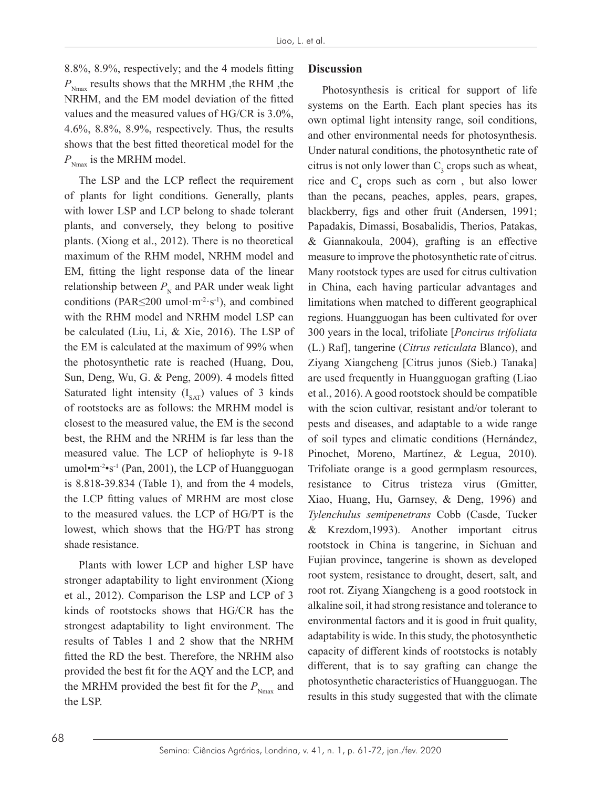8.8%, 8.9%, respectively; and the 4 models fitting  $P_{\text{Nmax}}$  results shows that the MRHM , the RHM , the NRHM, and the EM model deviation of the fitted values and the measured values of HG/CR is 3.0%, 4.6%, 8.8%, 8.9%, respectively. Thus, the results shows that the best fitted theoretical model for the  $P_{\text{Nmax}}$  is the MRHM model.

The LSP and the LCP reflect the requirement of plants for light conditions. Generally, plants with lower LSP and LCP belong to shade tolerant plants, and conversely, they belong to positive plants. (Xiong et al., 2012). There is no theoretical maximum of the RHM model, NRHM model and EM, fitting the light response data of the linear relationship between  $P<sub>N</sub>$  and PAR under weak light conditions (PAR $\leq$ 200 umol·m<sup>-2</sup>·s<sup>-1</sup>), and combined with the RHM model and NRHM model LSP can be calculated (Liu, Li, & Xie, 2016). The LSP of the EM is calculated at the maximum of 99% when the photosynthetic rate is reached (Huang, Dou, Sun, Deng, Wu, G. & Peng, 2009). 4 models fitted Saturated light intensity  $(I_{SAT})$  values of 3 kinds of rootstocks are as follows: the MRHM model is closest to the measured value, the EM is the second best, the RHM and the NRHM is far less than the measured value. The LCP of heliophyte is 9-18 umol $\cdot$ m<sup>-2</sup> $\cdot$ s<sup>-1</sup> (Pan, 2001), the LCP of Huangguogan is 8.818-39.834 (Table 1), and from the 4 models, the LCP fitting values of MRHM are most close to the measured values. the LCP of HG/PT is the lowest, which shows that the HG/PT has strong shade resistance.

Plants with lower LCP and higher LSP have stronger adaptability to light environment (Xiong et al., 2012). Comparison the LSP and LCP of 3 kinds of rootstocks shows that HG/CR has the strongest adaptability to light environment. The results of Tables 1 and 2 show that the NRHM fitted the RD the best. Therefore, the NRHM also provided the best fit for the AQY and the LCP, and the MRHM provided the best fit for the  $P_{N_{\text{max}}}$  and the LSP.

## **Discussion**

Photosynthesis is critical for support of life systems on the Earth. Each plant species has its own optimal light intensity range, soil conditions, and other environmental needs for photosynthesis. Under natural conditions, the photosynthetic rate of citrus is not only lower than  $C_3$  crops such as wheat, rice and  $C_4$  crops such as corn, but also lower than the pecans, peaches, apples, pears, grapes, blackberry, figs and other fruit (Andersen, 1991; Papadakis, Dimassi, Bosabalidis, Therios, Patakas, & Giannakoula, 2004), grafting is an effective measure to improve the photosynthetic rate of citrus. Many rootstock types are used for citrus cultivation in China, each having particular advantages and limitations when matched to different geographical regions. Huangguogan has been cultivated for over 300 years in the local, trifoliate [*Poncirus trifoliata* (L.) Raf], tangerine (*Citrus reticulata* Blanco), and Ziyang Xiangcheng [Citrus junos (Sieb.) Tanaka] are used frequently in Huangguogan grafting (Liao et al., 2016). A good rootstock should be compatible with the scion cultivar, resistant and/or tolerant to pests and diseases, and adaptable to a wide range of soil types and climatic conditions (Hernández, Pinochet, Moreno, Martínez, & Legua, 2010). Trifoliate orange is a good germplasm resources, resistance to Citrus tristeza virus (Gmitter, Xiao, Huang, Hu, Garnsey, & Deng, 1996) and *Tylenchulus semipenetrans* Cobb (Casde, Tucker & Krezdom,1993). Another important citrus rootstock in China is tangerine, in Sichuan and Fujian province, tangerine is shown as developed root system, resistance to drought, desert, salt, and root rot. Ziyang Xiangcheng is a good rootstock in alkaline soil, it had strong resistance and tolerance to environmental factors and it is good in fruit quality, adaptability is wide. In this study, the photosynthetic capacity of different kinds of rootstocks is notably different, that is to say grafting can change the photosynthetic characteristics of Huangguogan. The results in this study suggested that with the climate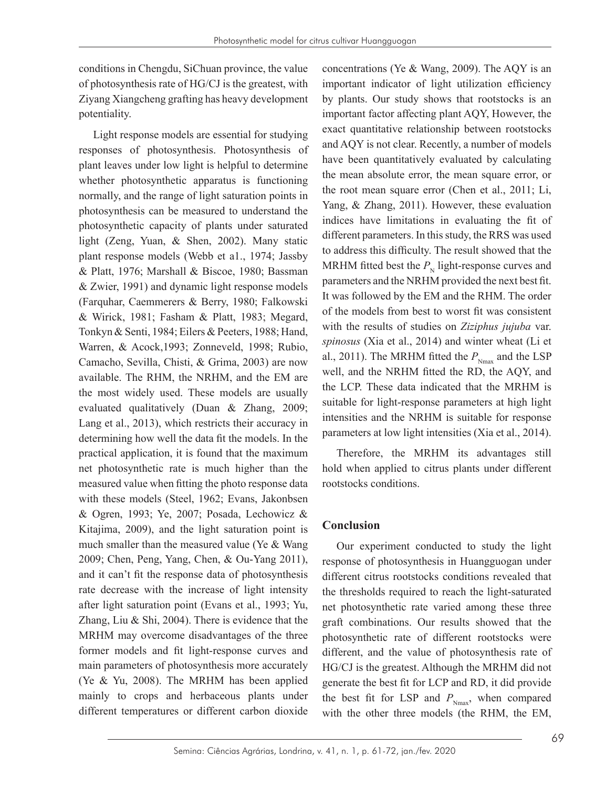conditions in Chengdu, SiChuan province, the value of photosynthesis rate of HG/CJ is the greatest, with Ziyang Xiangcheng grafting has heavy development potentiality.

Light response models are essential for studying responses of photosynthesis. Photosynthesis of plant leaves under low light is helpful to determine whether photosynthetic apparatus is functioning normally, and the range of light saturation points in photosynthesis can be measured to understand the photosynthetic capacity of plants under saturated light (Zeng, Yuan, & Shen, 2002). Many static plant response models (Webb et a1., 1974; Jassby & Platt, 1976; Marshall & Biscoe, 1980; Bassman & Zwier, 1991) and dynamic light response models (Farquhar, Caemmerers & Berry, 1980; Falkowski & Wirick, 1981; Fasham & Platt, 1983; Megard, Tonkyn & Senti, 1984; Eilers & Peeters, 1988; Hand, Warren, & Acock,1993; Zonneveld, 1998; Rubio, Camacho, Sevilla, Chisti, & Grima, 2003) are now available. The RHM, the NRHM, and the EM are the most widely used. These models are usually evaluated qualitatively (Duan & Zhang, 2009; Lang et al., 2013), which restricts their accuracy in determining how well the data fit the models. In the practical application, it is found that the maximum net photosynthetic rate is much higher than the measured value when fitting the photo response data with these models (Steel, 1962; Evans, Jakonbsen & Ogren, 1993; Ye, 2007; Posada, Lechowicz & Kitajima, 2009), and the light saturation point is much smaller than the measured value (Ye & Wang 2009; Chen, Peng, Yang, Chen, & Ou-Yang 2011), and it can't fit the response data of photosynthesis rate decrease with the increase of light intensity after light saturation point (Evans et al., 1993; Yu, Zhang, Liu & Shi, 2004). There is evidence that the MRHM may overcome disadvantages of the three former models and fit light-response curves and main parameters of photosynthesis more accurately (Ye & Yu, 2008). The MRHM has been applied mainly to crops and herbaceous plants under different temperatures or different carbon dioxide concentrations (Ye & Wang, 2009). The AQY is an important indicator of light utilization efficiency by plants. Our study shows that rootstocks is an important factor affecting plant AQY, However, the exact quantitative relationship between rootstocks and AQY is not clear. Recently, a number of models have been quantitatively evaluated by calculating the mean absolute error, the mean square error, or the root mean square error (Chen et al., 2011; Li, Yang, & Zhang, 2011). However, these evaluation indices have limitations in evaluating the fit of different parameters. In this study, the RRS was used to address this difficulty. The result showed that the MRHM fitted best the  $P_{\text{N}}$  light-response curves and parameters and the NRHM provided the next best fit. It was followed by the EM and the RHM. The order of the models from best to worst fit was consistent with the results of studies on *Ziziphus jujuba* var. *spinosus* (Xia et al., 2014) and winter wheat (Li et al., 2011). The MRHM fitted the  $P_{N_{\text{max}}}$  and the LSP well, and the NRHM fitted the RD, the AQY, and the LCP. These data indicated that the MRHM is suitable for light-response parameters at high light intensities and the NRHM is suitable for response parameters at low light intensities (Xia et al., 2014).

Therefore, the MRHM its advantages still hold when applied to citrus plants under different rootstocks conditions.

# **Conclusion**

Our experiment conducted to study the light response of photosynthesis in Huangguogan under different citrus rootstocks conditions revealed that the thresholds required to reach the light-saturated net photosynthetic rate varied among these three graft combinations. Our results showed that the photosynthetic rate of different rootstocks were different, and the value of photosynthesis rate of HG/CJ is the greatest. Although the MRHM did not generate the best fit for LCP and RD, it did provide the best fit for LSP and  $P_{N_{\text{max}}}$ , when compared with the other three models (the RHM, the EM,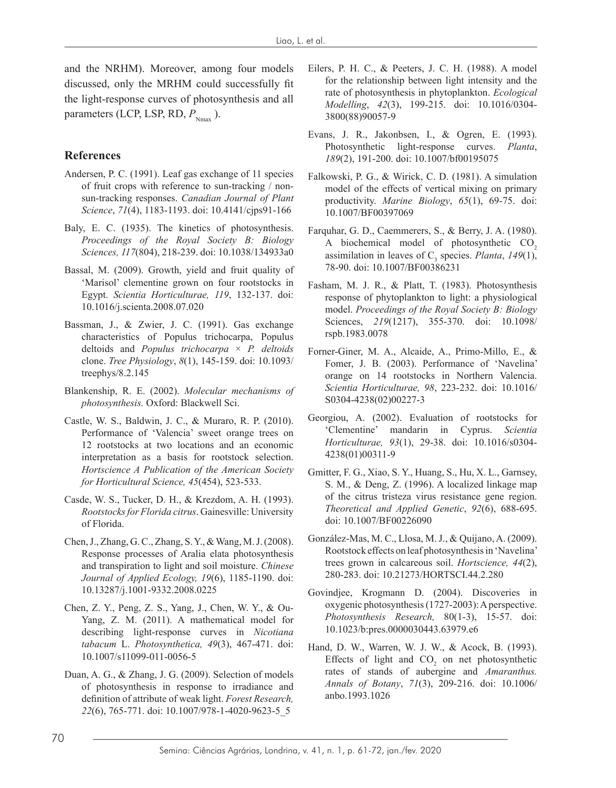and the NRHM). Moreover, among four models discussed, only the MRHM could successfully fit the light-response curves of photosynthesis and all parameters (LCP, LSP, RD,  $P_{_{\text{Nmax}}}$ ).

## **References**

- Andersen, P. C. (1991). Leaf gas exchange of 11 species of fruit crops with reference to sun-tracking / nonsun-tracking responses. *Canadian Journal of Plant Science*, *71*(4), 1183-1193. doi: 10.4141/cjps91-166
- Baly, E. C. (1935). The kinetics of photosynthesis. *Proceedings of the Royal Society B: Biology Sciences, 117*(804), 218-239. doi: 10.1038/134933a0
- Bassal, M. (2009). Growth, yield and fruit quality of 'Marisol' clementine grown on four rootstocks in Egypt. *Scientia Horticulturae, 119*, 132-137. doi: 10.1016/j.scienta.2008.07.020
- Bassman, J., & Zwier, J. C. (1991). Gas exchange characteristics of Populus trichocarpa, Populus deltoids and *Populus trichocarpa* × *P. deltoids* clone. *Tree Physiology*, *8*(1), 145-159. doi: 10.1093/ treephys/8.2.145
- Blankenship, R. E. (2002). *Molecular mechanisms of photosynthesis.* Oxford: Blackwell Sci.
- Castle, W. S., Baldwin, J. C., & Muraro, R. P. (2010). Performance of 'Valencia' sweet orange trees on 12 rootstocks at two locations and an economic interpretation as a basis for rootstock selection. *Hortscience A Publication of the American Society for Horticultural Science, 45*(454), 523-533.
- Casde, W. S., Tucker, D. H., & Krezdom, A. H. (1993). *Rootstocks for Florida citrus*. Gainesville: University of Florida.
- Chen, J., Zhang, G. C., Zhang, S. Y., & Wang, M. J. (2008). Response processes of Aralia elata photosynthesis and transpiration to light and soil moisture. *Chinese Journal of Applied Ecology, 19*(6), 1185-1190. doi: 10.13287/j.1001-9332.2008.0225
- Chen, Z. Y., Peng, Z. S., Yang, J., Chen, W. Y., & Ou-Yang, Z. M. (2011). A mathematical model for describing light-response curves in *Nicotiana tabacum* L. *Photosynthetica, 49*(3), 467-471. doi: 10.1007/s11099-011-0056-5
- Duan, A. G., & Zhang, J. G. (2009). Selection of models of photosynthesis in response to irradiance and definition of attribute of weak light. *Forest Research, 22*(6), 765-771. doi: 10.1007/978-1-4020-9623-5\_5
- Eilers, P. H. C., & Peeters, J. C. H. (1988). A model for the relationship between light intensity and the rate of photosynthesis in phytoplankton. *Ecological Modelling*, *42*(3), 199-215. doi: 10.1016/0304- 3800(88)90057-9
- Evans, J. R., Jakonbsen, I., & Ogren, E. (1993). Photosynthetic light-response curves. *Planta*, *189*(2), 191-200. doi: 10.1007/bf00195075
- Falkowski, P. G., & Wirick, C. D. (1981). A simulation model of the effects of vertical mixing on primary productivity. *Marine Biology*, *65*(1), 69-75. doi: 10.1007/BF00397069
- Farquhar, G. D., Caemmerers, S., & Berry, J. A. (1980). A biochemical model of photosynthetic  $CO<sub>2</sub>$ assimilation in leaves of  $C_3$  species. *Planta*, 149(1), 78-90. doi: 10.1007/BF00386231
- Fasham, M. J. R., & Platt, T. (1983). Photosynthesis response of phytoplankton to light: a physiological model. *Proceedings of the Royal Society B: Biology*  Sciences, *219*(1217), 355-370. doi: 10.1098/ rspb.1983.0078
- Forner-Giner, M. A., Alcaide, A., Primo-Millo, E., & Fomer, J. B. (2003). Performance of 'Navelina' orange on 14 rootstocks in Northern Valencia. *Scientia Horticulturae, 98*, 223-232. doi: 10.1016/ S0304-4238(02)00227-3
- Georgiou, A. (2002). Evaluation of rootstocks for 'Clementine' mandarin in Cyprus. *Scientia Horticulturae, 93*(1), 29-38. doi: 10.1016/s0304- 4238(01)00311-9
- Gmitter, F. G., Xiao, S. Y., Huang, S., Hu, X. L., Garnsey, S. M., & Deng, Z. (1996). A localized linkage map of the citrus tristeza virus resistance gene region. *Theoretical and Applied Genetic*, *92*(6), 688-695. doi: 10.1007/BF00226090
- González-Mas, M. C., Llosa, M. J., & Quijano, A. (2009). Rootstock effects on leaf photosynthesis in 'Navelina' trees grown in calcareous soil. *Hortscience, 44*(2), 280-283. doi: 10.21273/HORTSCI.44.2.280
- Govindjee, Krogmann D. (2004). Discoveries in oxygenic photosynthesis (1727-2003): A perspective. *Photosynthesis Research,* 80(1-3), 15-57. doi: 10.1023/b:pres.0000030443.63979.e6
- Hand, D. W., Warren, W. J. W., & Acock, B. (1993). Effects of light and  $CO<sub>2</sub>$  on net photosynthetic rates of stands of aubergine and *Amaranthus. Annals of Botany*, *71*(3), 209-216. doi: 10.1006/ anbo.1993.1026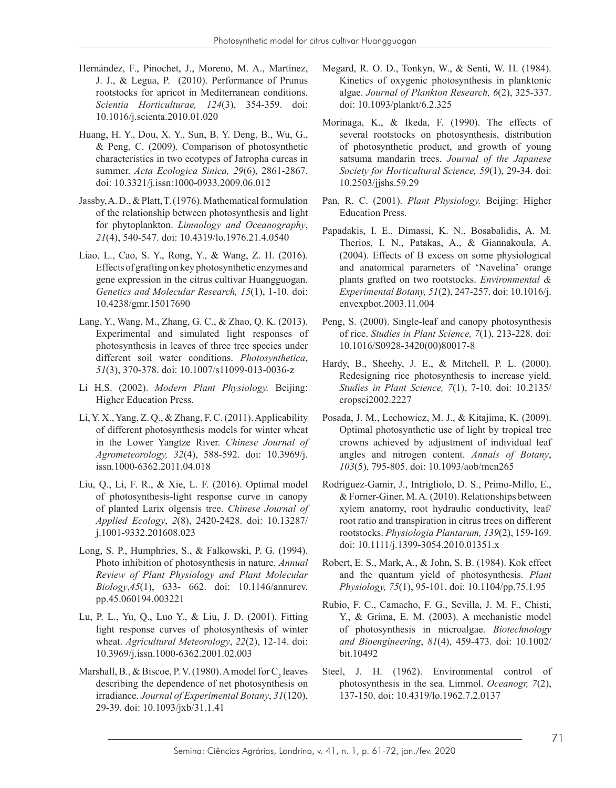- Hernández, F., Pinochet, J., Moreno, M. A., Martínez, J. J., & Legua, P. (2010). Performance of Prunus rootstocks for apricot in Mediterranean conditions. *Scientia Horticulturae, 124*(3), 354-359. doi: 10.1016/j.scienta.2010.01.020
- Huang, H. Y., Dou, X. Y., Sun, B. Y. Deng, B., Wu, G., & Peng, C. (2009). Comparison of photosynthetic characteristics in two ecotypes of Jatropha curcas in summer. *Acta Ecologica Sinica, 29*(6), 2861-2867. doi: 10.3321/j.issn:1000-0933.2009.06.012
- Jassby, A. D., & Platt, T. (1976). Mathematical formulation of the relationship between photosynthesis and light for phytoplankton. *Limnology and Oceanography*, *21*(4), 540-547. doi: 10.4319/lo.1976.21.4.0540
- Liao, L., Cao, S. Y., Rong, Y., & Wang, Z. H. (2016). Effects of grafting on key photosynthetic enzymes and gene expression in the citrus cultivar Huangguogan. *Genetics and Molecular Research, 15*(1), 1-10. doi: 10.4238/gmr.15017690
- Lang, Y., Wang, M., Zhang, G. C., & Zhao, Q. K. (2013). Experimental and simulated light responses of photosynthesis in leaves of three tree species under different soil water conditions. *Photosynthetica*, *51*(3), 370-378. doi: 10.1007/s11099-013-0036-z
- Li H.S. (2002). *Modern Plant Physiology.* Beijing: Higher Education Press.
- Li, Y. X., Yang, Z. Q., & Zhang, F. C. (2011). Applicability of different photosynthesis models for winter wheat in the Lower Yangtze River. *Chinese Journal of Agrometeorology, 32*(4), 588-592. doi: 10.3969/j. issn.1000-6362.2011.04.018
- Liu, Q., Li, F. R., & Xie, L. F. (2016). Optimal model of photosynthesis-light response curve in canopy of planted Larix olgensis tree. *Chinese Journal of Applied Ecology*, *2*(8), 2420-2428. doi: 10.13287/ j.1001-9332.201608.023
- Long, S. P., Humphries, S., & Falkowski, P. G. (1994). Photo inhibition of photosynthesis in nature. *Annual Review of Plant Physiology and Plant Molecular Biology*,*45*(1), 633- 662. doi: 10.1146/annurev. pp.45.060194.003221
- Lu, P. L., Yu, Q., Luo Y., & Liu, J. D. (2001). Fitting light response curves of photosynthesis of winter wheat. *Agricultural Meteorology*, *22*(2), 12-14. doi: 10.3969/j.issn.1000-6362.2001.02.003
- Marshall, B., & Biscoe, P. V. (1980). A model for  $C_3$  leaves describing the dependence of net photosynthesis on irradiance. *Journal of Experimental Botany*, *31*(120), 29-39. doi: 10.1093/jxb/31.1.41
- Megard, R. O. D., Tonkyn, W., & Senti, W. H. (1984). Kinetics of oxygenic photosynthesis in planktonic algae. *Journal of Plankton Research, 6*(2), 325-337. doi: 10.1093/plankt/6.2.325
- Morinaga, K., & Ikeda, F. (1990). The effects of several rootstocks on photosynthesis, distribution of photosynthetic product, and growth of young satsuma mandarin trees. *Journal of the Japanese Society for Horticultural Science, 59*(1), 29-34. doi: 10.2503/jjshs.59.29
- Pan, R. C. (2001). *Plant Physiology.* Beijing: Higher Education Press.
- Papadakis, I. E., Dimassi, K. N., Bosabalidis, A. M. Therios, I. N., Patakas, A., & Giannakoula, A. (2004). Effects of B excess on some physiological and anatomical pararneters of 'Navelina' orange plants grafted on two rootstocks. *Environmental & Experimental Botany, 51*(2), 247-257. doi: 10.1016/j. envexpbot.2003.11.004
- Peng, S. (2000). Single-leaf and canopy photosynthesis of rice. *Studies in Plant Science, 7*(1), 213-228. doi: 10.1016/S0928-3420(00)80017-8
- Hardy, B., Sheehy, J. E., & Mitchell, P. L. (2000). Redesigning rice photosynthesis to increase yield. *Studies in Plant Science, 7*(1), 7-10. doi: 10.2135/ cropsci2002.2227
- Posada, J. M., Lechowicz, M. J., & Kitajima, K. (2009). Optimal photosynthetic use of light by tropical tree crowns achieved by adjustment of individual leaf angles and nitrogen content. *Annals of Botany*, *103*(5), 795-805. doi: 10.1093/aob/mcn265
- Rodríguez-Gamir, J., Intrigliolo, D. S., Primo-Millo, E., & Forner-Giner, M. A. (2010). Relationships between xylem anatomy, root hydraulic conductivity, leaf/ root ratio and transpiration in citrus trees on different rootstocks. *Physiologia Plantarum, 139*(2), 159-169. doi: 10.1111/j.1399-3054.2010.01351.x
- Robert, E. S., Mark, A., & John, S. B. (1984). Kok effect and the quantum yield of photosynthesis. *Plant Physiology, 75*(1), 95-101. doi: 10.1104/pp.75.1.95
- Rubio, F. C., Camacho, F. G., Sevilla, J. M. F., Chisti, Y., & Grima, E. M. (2003). A mechanistic model of photosynthesis in microalgae. *Biotechnology and Bioengineering*, *81*(4), 459-473. doi: 10.1002/ bit.10492
- Steel, J. H. (1962). Environmental control of photosynthesis in the sea. Limmol. *Oceanogr, 7*(2), 137-150. doi: 10.4319/lo.1962.7.2.0137